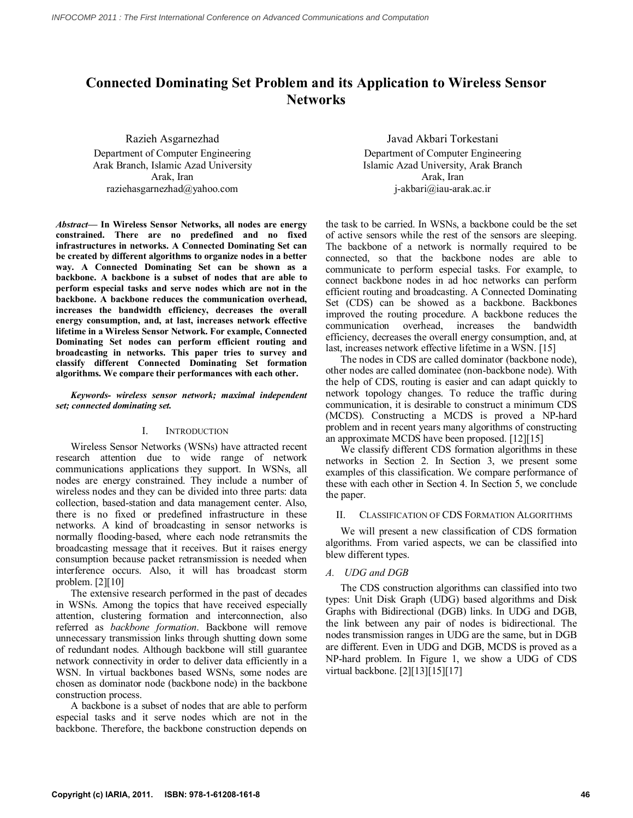# **Connected Dominating Set Problem and its Application to Wireless Sensor Networks**

Razieh Asgarnezhad Department of Computer Engineering Arak Branch, Islamic Azad University Arak, Iran raziehasgarnezhad@yahoo.com

*Abstract***— In Wireless Sensor Networks, all nodes are energy constrained. There are no predefined and no fixed infrastructures in networks. A Connected Dominating Set can be created by different algorithms to organize nodes in a better way. A Connected Dominating Set can be shown as a backbone. A backbone is a subset of nodes that are able to perform especial tasks and serve nodes which are not in the backbone. A backbone reduces the communication overhead, increases the bandwidth efficiency, decreases the overall energy consumption, and, at last, increases network effective lifetime in a Wireless Sensor Network. For example, Connected Dominating Set nodes can perform efficient routing and broadcasting in networks. This paper tries to survey and classify different Connected Dominating Set formation algorithms. We compare their performances with each other.**

## *Keywords- wireless sensor network; maximal independent set; connected dominating set.*

## I. INTRODUCTION

Wireless Sensor Networks (WSNs) have attracted recent research attention due to wide range of network communications applications they support. In WSNs, all nodes are energy constrained. They include a number of wireless nodes and they can be divided into three parts: data collection, based-station and data management center. Also, there is no fixed or predefined infrastructure in these networks. A kind of broadcasting in sensor networks is normally flooding-based, where each node retransmits the broadcasting message that it receives. But it raises energy consumption because packet retransmission is needed when interference occurs. Also, it will has broadcast storm problem. [2][10]

The extensive research performed in the past of decades in WSNs. Among the topics that have received especially attention, clustering formation and interconnection, also referred as *backbone formation*. Backbone will remove unnecessary transmission links through shutting down some of redundant nodes. Although backbone will still guarantee network connectivity in order to deliver data efficiently in a WSN. In virtual backbones based WSNs, some nodes are chosen as dominator node (backbone node) in the backbone construction process.

A backbone is a subset of nodes that are able to perform especial tasks and it serve nodes which are not in the backbone. Therefore, the backbone construction depends on

Javad Akbari Torkestani Department of Computer Engineering Islamic Azad University, Arak Branch Arak, Iran j-akbari@iau-arak.ac.ir

the task to be carried. In WSNs, a backbone could be the set of active sensors while the rest of the sensors are sleeping. The backbone of a network is normally required to be connected, so that the backbone nodes are able to communicate to perform especial tasks. For example, to connect backbone nodes in ad hoc networks can perform efficient routing and broadcasting. A Connected Dominating Set (CDS) can be showed as a backbone. Backbones improved the routing procedure. A backbone reduces the communication overhead, increases the bandwidth efficiency, decreases the overall energy consumption, and, at last, increases network effective lifetime in a WSN. [15]

The nodes in CDS are called dominator (backbone node), other nodes are called dominatee (non-backbone node). With the help of CDS, routing is easier and can adapt quickly to network topology changes. To reduce the traffic during communication, it is desirable to construct a minimum CDS (MCDS). Constructing a MCDS is proved a NP-hard problem and in recent years many algorithms of constructing an approximate MCDS have been proposed. [12][15]

We classify different CDS formation algorithms in these networks in Section 2. In Section 3, we present some examples of this classification. We compare performance of these with each other in Section 4. In Section 5, we conclude the paper.

## II. CLASSIFICATION OF CDS FORMATION ALGORITHMS

We will present a new classification of CDS formation algorithms. From varied aspects, we can be classified into blew different types.

## *A. UDG and DGB*

The CDS construction algorithms can classified into two types: Unit Disk Graph (UDG) based algorithms and Disk Graphs with Bidirectional (DGB) links. In UDG and DGB, the link between any pair of nodes is bidirectional. The nodes transmission ranges in UDG are the same, but in DGB are different. Even in UDG and DGB, MCDS is proved as a NP-hard problem. In Figure 1, we show a UDG of CDS virtual backbone. [2][13][15][17]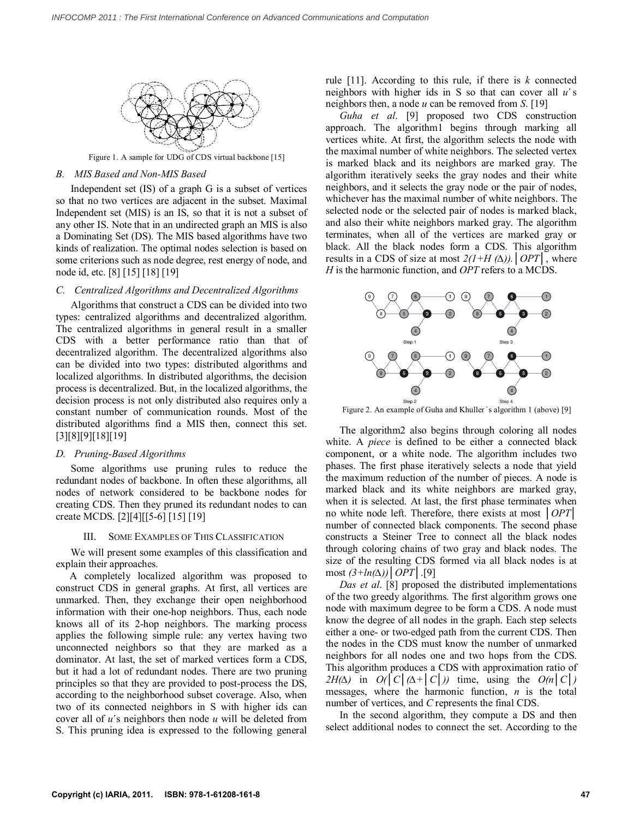

Figure 1. A sample for UDG of CDS virtual backbone [15]

## *B. MIS Based and Non-MIS Based*

Independent set (IS) of a graph G is a subset of vertices so that no two vertices are adjacent in the subset. Maximal Independent set (MIS) is an IS, so that it is not a subset of any other IS. Note that in an undirected graph an MIS is also a Dominating Set (DS). The MIS based algorithms have two kinds of realization. The optimal nodes selection is based on some criterions such as node degree, rest energy of node, and node id, etc. [8] [15] [18] [19]

## *C. Centralized Algorithms and Decentralized Algorithms*

Algorithms that construct a CDS can be divided into two types: centralized algorithms and decentralized algorithm. The centralized algorithms in general result in a smaller CDS with a better performance ratio than that of decentralized algorithm. The decentralized algorithms also can be divided into two types: distributed algorithms and localized algorithms. In distributed algorithms, the decision process is decentralized. But, in the localized algorithms, the decision process is not only distributed also requires only a constant number of communication rounds. Most of the distributed algorithms find a MIS then, connect this set. [3][8][9][18][19]

## *D. Pruning-Based Algorithms*

Some algorithms use pruning rules to reduce the redundant nodes of backbone. In often these algorithms, all nodes of network considered to be backbone nodes for creating CDS. Then they pruned its redundant nodes to can create MCDS. [2][4][[5-6] [15] [19]

## III. SOME EXAMPLES OF THIS CLASSIFICATION

We will present some examples of this classification and explain their approaches.

A completely localized algorithm was proposed to construct CDS in general graphs. At first, all vertices are unmarked. Then, they exchange their open neighborhood information with their one-hop neighbors. Thus, each node knows all of its 2-hop neighbors. The marking process applies the following simple rule: any vertex having two unconnected neighbors so that they are marked as a dominator. At last, the set of marked vertices form a CDS, but it had a lot of redundant nodes. There are two pruning principles so that they are provided to post-process the DS, according to the neighborhood subset coverage. Also, when two of its connected neighbors in S with higher ids can cover all of *u̕* s neighbors then node *u* will be deleted from S. This pruning idea is expressed to the following general rule [11]. According to this rule, if there is *k* connected neighbors with higher ids in S so that can cover all *u̕* s neighbors then, a node *u* can be removed from *S*. [19]

*Guha et al*. [9] proposed two CDS construction approach. The algorithm1 begins through marking all vertices white. At first, the algorithm selects the node with the maximal number of white neighbors. The selected vertex is marked black and its neighbors are marked gray. The algorithm iteratively seeks the gray nodes and their white neighbors, and it selects the gray node or the pair of nodes, whichever has the maximal number of white neighbors. The selected node or the selected pair of nodes is marked black, and also their white neighbors marked gray. The algorithm terminates, when all of the vertices are marked gray or black. All the black nodes form a CDS. This algorithm results in a CDS of size at most *2(1+H (∆)).│OPT│*, where *H* is the harmonic function, and *OPT* refers to a MCDS.



Figure 2. An example of Guha and Khuller's algorithm 1 (above) [9]

The algorithm2 also begins through coloring all nodes white. A *piece* is defined to be either a connected black component, or a white node. The algorithm includes two phases. The first phase iteratively selects a node that yield the maximum reduction of the number of pieces. A node is marked black and its white neighbors are marked gray, when it is selected. At last, the first phase terminates when no white node left. Therefore, there exists at most *│OPT│* number of connected black components. The second phase constructs a Steiner Tree to connect all the black nodes through coloring chains of two gray and black nodes. The size of the resulting CDS formed via all black nodes is at most *(3+ln(∆))│OPT│*.[9]

*Das et al*. [8] proposed the distributed implementations of the two greedy algorithms. The first algorithm grows one node with maximum degree to be form a CDS. A node must know the degree of all nodes in the graph. Each step selects either a one- or two-edged path from the current CDS. Then the nodes in the CDS must know the number of unmarked neighbors for all nodes one and two hops from the CDS. This algorithm produces a CDS with approximation ratio of *2H(* $\Delta$ *)* in *O(* $|C|\Delta+|C|$ *)* time, using the *O(n* $|C|$ *)* messages, where the harmonic function, *n* is the total number of vertices, and *C* represents the final CDS.

In the second algorithm, they compute a DS and then select additional nodes to connect the set. According to the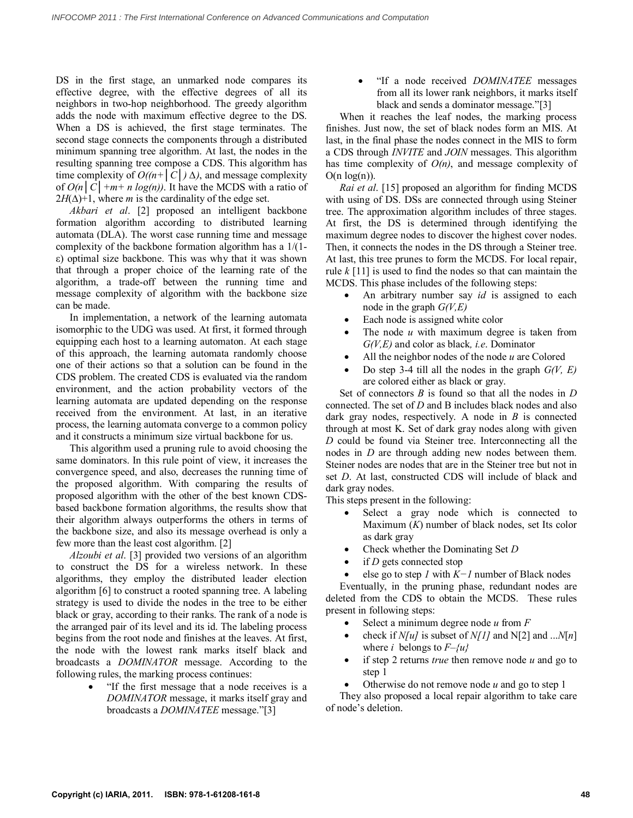DS in the first stage, an unmarked node compares its effective degree, with the effective degrees of all its neighbors in two-hop neighborhood. The greedy algorithm adds the node with maximum effective degree to the DS. When a DS is achieved, the first stage terminates. The second stage connects the components through a distributed minimum spanning tree algorithm. At last, the nodes in the resulting spanning tree compose a CDS. This algorithm has time complexity of *O((n+│C│) ∆)*, and message complexity of  $O(n|C|+m+n log(n))$ . It have the MCDS with a ratio of  $2H(\Delta)+1$ , where *m* is the cardinality of the edge set.

*Akbari et al*. [2] proposed an intelligent backbone formation algorithm according to distributed learning automata (DLA). The worst case running time and message complexity of the backbone formation algorithm has a 1/(1 ε) optimal size backbone. This was why that it was shown that through a proper choice of the learning rate of the algorithm, a trade-off between the running time and message complexity of algorithm with the backbone size can be made.

In implementation, a network of the learning automata isomorphic to the UDG was used. At first, it formed through equipping each host to a learning automaton. At each stage of this approach, the learning automata randomly choose one of their actions so that a solution can be found in the CDS problem. The created CDS is evaluated via the random environment, and the action probability vectors of the learning automata are updated depending on the response received from the environment. At last, in an iterative process, the learning automata converge to a common policy and it constructs a minimum size virtual backbone for us.

This algorithm used a pruning rule to avoid choosing the same dominators. In this rule point of view, it increases the convergence speed, and also, decreases the running time of the proposed algorithm. With comparing the results of proposed algorithm with the other of the best known CDSbased backbone formation algorithms, the results show that their algorithm always outperforms the others in terms of the backbone size, and also its message overhead is only a few more than the least cost algorithm. [2]

*Alzoubi et al*. [3] provided two versions of an algorithm to construct the DS for a wireless network. In these algorithms, they employ the distributed leader election algorithm [6] to construct a rooted spanning tree. A labeling strategy is used to divide the nodes in the tree to be either black or gray, according to their ranks. The rank of a node is the arranged pair of its level and its id. The labeling process begins from the root node and finishes at the leaves. At first, the node with the lowest rank marks itself black and broadcasts a *DOMINATOR* message. According to the following rules, the marking process continues:

> "If the first message that a node receives is a *DOMINATOR* message, it marks itself gray and broadcasts a *DOMINATEE* message."[3]

 "If a node received *DOMINATEE* messages from all its lower rank neighbors, it marks itself black and sends a dominator message."[3]

When it reaches the leaf nodes, the marking process finishes. Just now, the set of black nodes form an MIS. At last, in the final phase the nodes connect in the MIS to form a CDS through *INVITE* and *JOIN* messages. This algorithm has time complexity of *O(n)*, and message complexity of  $O(n log(n))$ .

*Rai et al*. [15] proposed an algorithm for finding MCDS with using of DS. DSs are connected through using Steiner tree. The approximation algorithm includes of three stages. At first, the DS is determined through identifying the maximum degree nodes to discover the highest cover nodes. Then, it connects the nodes in the DS through a Steiner tree. At last, this tree prunes to form the MCDS. For local repair, rule *k* [11] is used to find the nodes so that can maintain the MCDS. This phase includes of the following steps:

- An arbitrary number say *id* is assigned to each node in the graph *G(V,E)*
- Each node is assigned white color
- The node *u* with maximum degree is taken from *G(V,E)* and color as black*, i.e*. Dominator
- All the neighbor nodes of the node *u* are Colored
- Do step 3-4 till all the nodes in the graph *G(V, E)* are colored either as black or gray.

Set of connectors *B* is found so that all the nodes in *D*  connected. The set of *D* and B includes black nodes and also dark gray nodes, respectively. A node in *B* is connected through at most K. Set of dark gray nodes along with given *D* could be found via Steiner tree. Interconnecting all the nodes in *D* are through adding new nodes between them. Steiner nodes are nodes that are in the Steiner tree but not in set *D*. At last, constructed CDS will include of black and dark gray nodes.

This steps present in the following:

- Select a gray node which is connected to Maximum (*K*) number of black nodes, set Its color as dark gray
- Check whether the Dominating Set *D*
- if *D* gets connected stop
- else go to step *1* with *K−1* number of Black nodes

Eventually, in the pruning phase, redundant nodes are deleted from the CDS to obtain the MCDS. These rules present in following steps:

- Select a minimum degree node *u* from *F*
- check if  $N[u]$  is subset of  $N[1]$  and  $N[2]$  and ... $N[n]$ where *i* belongs to  $F-\{u\}$
- if step 2 returns *true* then remove node *u* and go to step 1
- Otherwise do not remove node *u* and go to step 1

They also proposed a local repair algorithm to take care of node's deletion.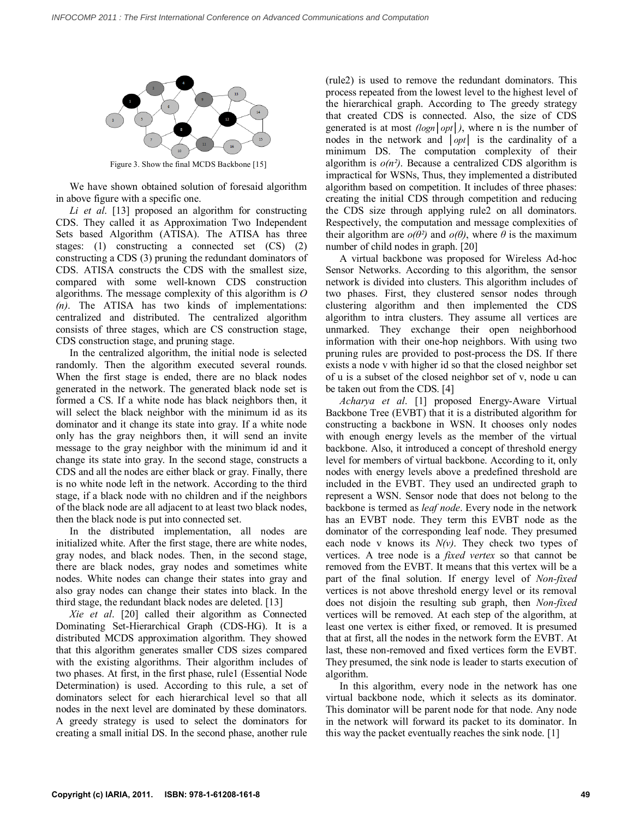

Figure 3. Show the final MCDS Backbone [15]

We have shown obtained solution of foresaid algorithm in above figure with a specific one.

*Li et al*. [13] proposed an algorithm for constructing CDS. They called it as Approximation Two Independent Sets based Algorithm (ATISA). The ATISA has three stages: (1) constructing a connected set (CS) (2) constructing a CDS (3) pruning the redundant dominators of CDS. ATISA constructs the CDS with the smallest size, compared with some well-known CDS construction algorithms. The message complexity of this algorithm is *O (n)*. The ATISA has two kinds of implementations: centralized and distributed. The centralized algorithm consists of three stages, which are CS construction stage, CDS construction stage, and pruning stage.

In the centralized algorithm, the initial node is selected randomly. Then the algorithm executed several rounds. When the first stage is ended, there are no black nodes generated in the network. The generated black node set is formed a CS. If a white node has black neighbors then, it will select the black neighbor with the minimum id as its dominator and it change its state into gray. If a white node only has the gray neighbors then, it will send an invite message to the gray neighbor with the minimum id and it change its state into gray. In the second stage, constructs a CDS and all the nodes are either black or gray. Finally, there is no white node left in the network. According to the third stage, if a black node with no children and if the neighbors of the black node are all adjacent to at least two black nodes, then the black node is put into connected set.

In the distributed implementation, all nodes are initialized white. After the first stage, there are white nodes, gray nodes, and black nodes. Then, in the second stage, there are black nodes, gray nodes and sometimes white nodes. White nodes can change their states into gray and also gray nodes can change their states into black. In the third stage, the redundant black nodes are deleted. [13]

*Xie et al*. [20] called their algorithm as Connected Dominating Set-Hierarchical Graph (CDS-HG). It is a distributed MCDS approximation algorithm. They showed that this algorithm generates smaller CDS sizes compared with the existing algorithms. Their algorithm includes of two phases. At first, in the first phase, rule1 (Essential Node Determination) is used. According to this rule, a set of dominators select for each hierarchical level so that all nodes in the next level are dominated by these dominators. A greedy strategy is used to select the dominators for creating a small initial DS. In the second phase, another rule

(rule2) is used to remove the redundant dominators. This process repeated from the lowest level to the highest level of the hierarchical graph. According to The greedy strategy that created CDS is connected. Also, the size of CDS generated is at most *(logn│opt│)*, where n is the number of nodes in the network and *│opt│* is the cardinality of a minimum DS. The computation complexity of their algorithm is  $o(n^2)$ . Because a centralized CDS algorithm is impractical for WSNs, Thus, they implemented a distributed algorithm based on competition. It includes of three phases: creating the initial CDS through competition and reducing the CDS size through applying rule2 on all dominators. Respectively, the computation and message complexities of their algorithm are  $o(\theta^2)$  and  $o(\theta)$ , where  $\theta$  is the maximum number of child nodes in graph. [20]

A virtual backbone was proposed for Wireless Ad-hoc Sensor Networks. According to this algorithm, the sensor network is divided into clusters. This algorithm includes of two phases. First, they clustered sensor nodes through clustering algorithm and then implemented the CDS algorithm to intra clusters. They assume all vertices are unmarked. They exchange their open neighborhood information with their one-hop neighbors. With using two pruning rules are provided to post-process the DS. If there exists a node v with higher id so that the closed neighbor set of u is a subset of the closed neighbor set of v, node u can be taken out from the CDS. [4]

*Acharya et al*. [1] proposed Energy-Aware Virtual Backbone Tree (EVBT) that it is a distributed algorithm for constructing a backbone in WSN. It chooses only nodes with enough energy levels as the member of the virtual backbone. Also, it introduced a concept of threshold energy level for members of virtual backbone. According to it, only nodes with energy levels above a predefined threshold are included in the EVBT. They used an undirected graph to represent a WSN. Sensor node that does not belong to the backbone is termed as *leaf node*. Every node in the network has an EVBT node. They term this EVBT node as the dominator of the corresponding leaf node. They presumed each node v knows its  $N(v)$ . They check two types of vertices. A tree node is a *fixed vertex* so that cannot be removed from the EVBT. It means that this vertex will be a part of the final solution. If energy level of *Non-fixed*  vertices is not above threshold energy level or its removal does not disjoin the resulting sub graph, then *Non-fixed*  vertices will be removed. At each step of the algorithm, at least one vertex is either fixed, or removed. It is presumed that at first, all the nodes in the network form the EVBT. At last, these non-removed and fixed vertices form the EVBT. They presumed, the sink node is leader to starts execution of algorithm.

In this algorithm, every node in the network has one virtual backbone node, which it selects as its dominator. This dominator will be parent node for that node. Any node in the network will forward its packet to its dominator. In this way the packet eventually reaches the sink node. [1]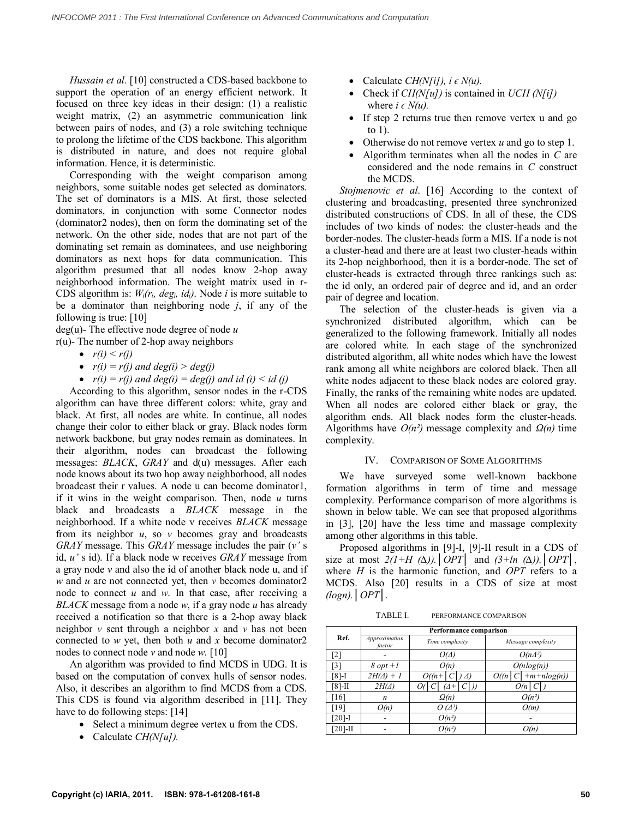*Hussain et al*. [10] constructed a CDS-based backbone to support the operation of an energy efficient network. It focused on three key ideas in their design: (1) a realistic weight matrix, (2) an asymmetric communication link between pairs of nodes, and (3) a role switching technique to prolong the lifetime of the CDS backbone. This algorithm is distributed in nature, and does not require global information. Hence, it is deterministic.

Corresponding with the weight comparison among neighbors, some suitable nodes get selected as dominators. The set of dominators is a MIS. At first, those selected dominators, in conjunction with some Connector nodes (dominator2 nodes), then on form the dominating set of the network. On the other side, nodes that are not part of the dominating set remain as dominatees, and use neighboring dominators as next hops for data communication. This algorithm presumed that all nodes know 2-hop away neighborhood information. The weight matrix used in r-CDS algorithm is: *Wᵢ(rᵢ, degᵢ, idᵢ)*. Node *i* is more suitable to be a dominator than neighboring node *j*, if any of the following is true: [10]

deg(u)- The effective node degree of node *u*

r(u)- The number of 2-hop away neighbors

- $r(i) < r(i)$
- $r(i) = r(j)$  and  $deg(i) > deg(j)$
- $r(i) = r(j)$  and  $deg(i) = deg(j)$  and  $id$  (i)  $\leq id$  (j)

According to this algorithm, sensor nodes in the r-CDS algorithm can have three different colors: white, gray and black. At first, all nodes are white. In continue, all nodes change their color to either black or gray. Black nodes form network backbone, but gray nodes remain as dominatees. In their algorithm, nodes can broadcast the following messages: *BLACK*, *GRAY* and d(u) messages. After each node knows about its two hop away neighborhood, all nodes broadcast their r values. A node u can become dominator1, if it wins in the weight comparison. Then, node *u* turns black and broadcasts a *BLACK* message in the neighborhood. If a white node v receives *BLACK* message from its neighbor *u*, so *v* becomes gray and broadcasts *GRAY* message. This *GRAY* message includes the pair (*v'* s id, *u'* s id). If a black node w receives *GRAY* message from a gray node *v* and also the id of another black node u, and if *w* and *u* are not connected yet, then *v* becomes dominator2 node to connect *u* and *w*. In that case, after receiving a *BLACK* message from a node *w*, if a gray node *u* has already received a notification so that there is a 2-hop away black neighbor *v* sent through a neighbor *x* and *v* has not been connected to *w* yet, then both *u* and *x* become dominator2 nodes to connect node *v* and node *w*. [10]

An algorithm was provided to find MCDS in UDG. It is based on the computation of convex hulls of sensor nodes. Also, it describes an algorithm to find MCDS from a CDS. This CDS is found via algorithm described in [11]. They have to do following steps: [14]

- Select a minimum degree vertex u from the CDS.
- Calculate *CH(N[u]).*
- Calculate *CH(N[i])*,  $i \in N(u)$ .
- Check if *CH(N[u])* is contained in *UCH (N[i])* where  $i \in N(u)$ .
- If step 2 returns true then remove vertex u and go to 1).
- Otherwise do not remove vertex *u* and go to step 1.
- Algorithm terminates when all the nodes in *C* are considered and the node remains in *C* construct the MCDS.

*Stojmenovic et al*. [16] According to the context of clustering and broadcasting, presented three synchronized distributed constructions of CDS. In all of these, the CDS includes of two kinds of nodes: the cluster-heads and the border-nodes. The cluster-heads form a MIS. If a node is not a cluster-head and there are at least two cluster-heads within its 2-hop neighborhood, then it is a border-node. The set of cluster-heads is extracted through three rankings such as: the id only, an ordered pair of degree and id, and an order pair of degree and location.

The selection of the cluster-heads is given via a synchronized distributed algorithm, which can be generalized to the following framework. Initially all nodes are colored white. In each stage of the synchronized distributed algorithm, all white nodes which have the lowest rank among all white neighbors are colored black. Then all white nodes adjacent to these black nodes are colored gray. Finally, the ranks of the remaining white nodes are updated. When all nodes are colored either black or gray, the algorithm ends. All black nodes form the cluster-heads. Algorithms have *О(n²)* message complexity and *Ω(n)* time complexity.

## IV. COMPARISON OF SOME ALGORITHMS

We have surveyed some well-known backbone formation algorithms in term of time and message complexity. Performance comparison of more algorithms is shown in below table. We can see that proposed algorithms in [3], [20] have the less time and massage complexity among other algorithms in this table.

Proposed algorithms in [9]-I, [9]-II result in a CDS of size at most *2(1+H (∆)).│OPT│* and *(3+ln (∆)).│OPT│*, where *H* is the harmonic function, and *OPT* refers to a MCDS. Also [20] results in a CDS of size at most *(logn).│OPT│.*

TABLE I. PERFORMANCE COMPARISON

|            | Performance comparison  |                     |                                      |
|------------|-------------------------|---------------------|--------------------------------------|
| Ref.       | Approximation<br>factor | Time complexity     | Message complexity                   |
| [2]        |                         | $O(\Delta)$         | $O(n\Delta^2)$                       |
| [3]        | $8$ opt $+1$            | O(n)                | $O(n \log(n))$                       |
| $[8]-1$    | $2H(\Delta) + 1$        | $O((n+$<br>$\Delta$ | $\vert +m+nlog(n)\rangle$<br>O(n   C |
| $[8]$ -II  | $2H(\Delta)$            | 71+                 | O(n)                                 |
| $[16]$     | $\boldsymbol{n}$        | $\Omega(n)$         | $O(n^2)$                             |
| [19]       | O(n)                    | $O(\Delta^3)$       | $\Theta(m)$                          |
| $[20]$ -I  |                         | $O(n^2)$            |                                      |
| $[20]$ -II |                         | $O(n^2)$            | O(n                                  |